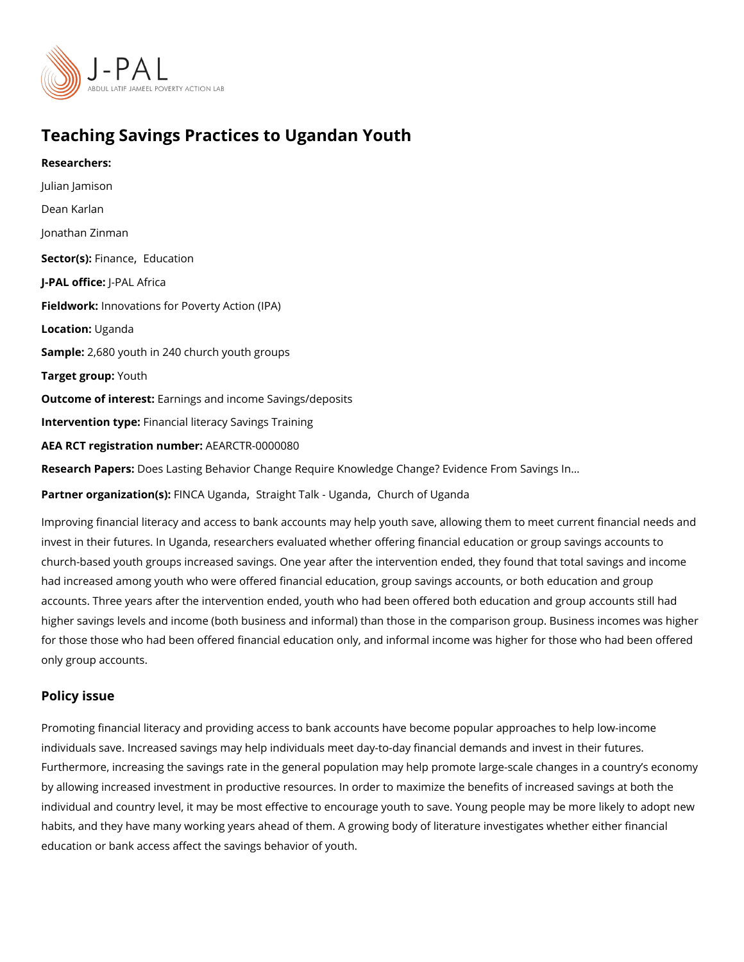# Teaching Savings Practices to Ugandan Youth

Researchers: [Julian Ja](https://www.povertyactionlab.org/person/jamison)mison [Dean Ka](https://www.povertyactionlab.org/person/karlan)rlan [Jonathan Z](https://www.povertyactionlab.org/person/zinman)inman Sector(Fsi)nan[,](https://www.povertyactionlab.org/sector/finance) cheducation J-PAL oftli-cPeAL Africa Fieldworkhnovations for Poverty Action (IPA) Locatiobiganda Sample: 680 youth in 240 church youth groups Target gro**uputh** Outcome of interestings and income Savings/deposits Intervention typreancial literacy Savings Training AEA RCT registration AnEuAnRbGeTR-0000080 Research Papers: Lasting Behavior Change Require Knowledge Change? Evidence From Sa Partner organizat Fiol M (SA): Uga 8 d raight Talk -[,](https://www.povertyactionlab.org/partners/straight-talk-uganda) Chomanda of Uganda

Improving financial literacy and access to bank accounts may help youth save, allowing th invest in their futures. In Uganda, researchers evaluated whether offering financial educa church-based youth groups increased savings. One year after the intervention ended, they had increased among youth who were offered financial education, group savings accounts accounts. Three years after the intervention ended, youth who had been offered both educ higher savings levels and income (both business and informal) than those in the comparis for those those who had been offered financial education only, and informal income was h only group accounts.

#### Policy issue

Promoting financial literacy and providing access to bank accounts have become popular a individuals save. Increased savings may help individuals meet day-to-day financial deman Furthermore, increasing the savings rate in the general population may help promote larg by allowing increased investment in productive resources. In order to maximize the benef individual and country level, it may be most effective to encourage youth to save. Young habits, and they have many working years ahead of them. A growing body of literature inv education or bank access affect the savings behavior of youth.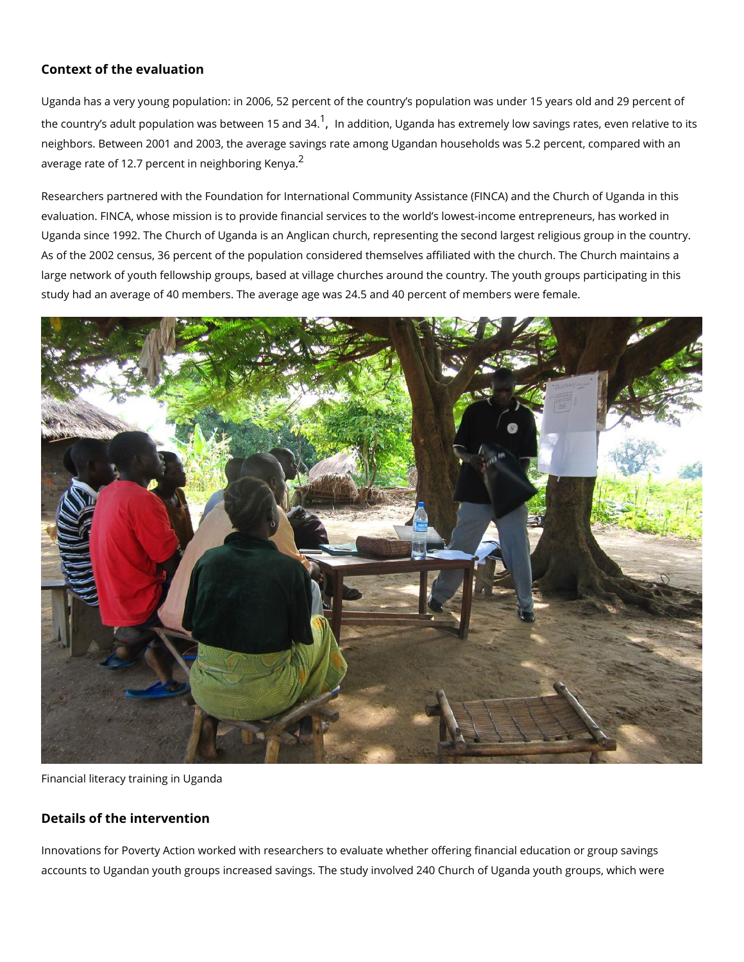#### Context of the evaluation

Uganda has a very young population: in 2006, 52 percent of the country s population was the country s adult population was b<sup>[1](#page-3-0)</sup>ethme**æd**d1t5ioann[,](#page-3-0)dU3g4a.nda has extremely low savings rates neighbors. Between 2001 and 2003, the average savings rate among Ugandan households average rate of 1[2](#page-3-0).7 percent in  $n^2$  ighboring Kenya.

Researchers partnered with the Foundation for International Community Assistance (FINC, evaluation. FINCA, whose mission is to provide financial services to the world s lowest-in Uganda since 1992. The Church of Uganda is an Anglican church, representing the second As of the 2002 census, 36 percent of the population considered themselves affiliated with large network of youth fellowship groups, based at village churches around the country. T study had an average of 40 members. The average age was 24.5 and 40 percent of membe

Financial literacy training in Uganda

### Details of the intervention

Innovations for Poverty Action worked with researchers to evaluate whether offering finan accounts to Ugandan youth groups increased savings. The study involved 240 Church of U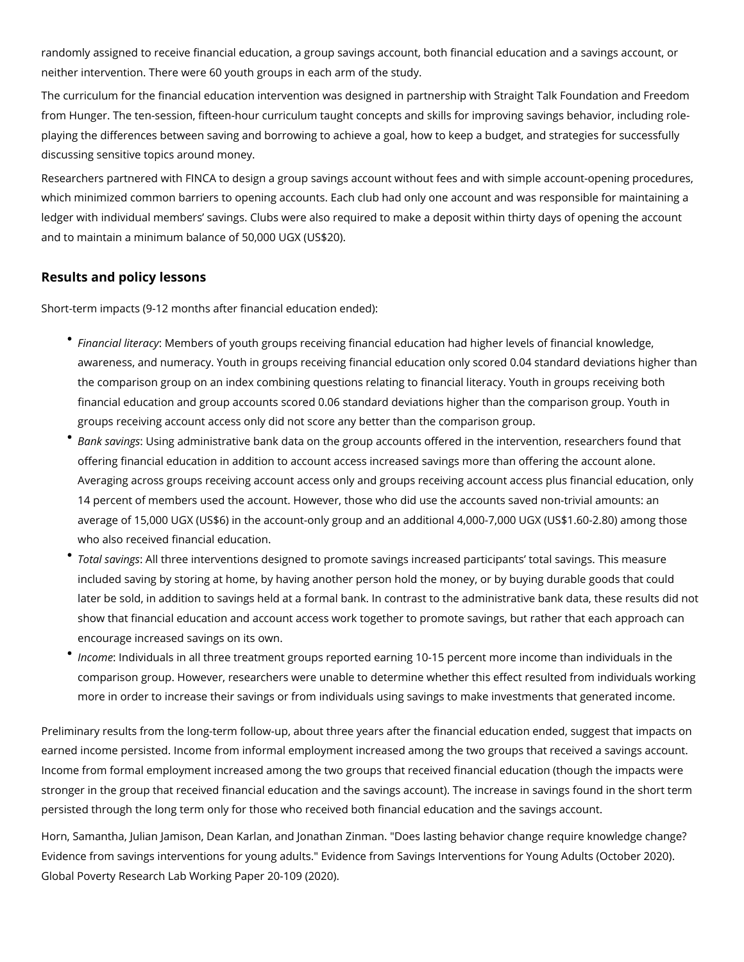randomly assigned to receive financial education, a group savings account, both financial education and a savings account, or neither intervention. There were 60 youth groups in each arm of the study.

The curriculum for the financial education intervention was designed in partnership with Straight Talk Foundation and Freedom from Hunger. The ten-session, fifteen-hour curriculum taught concepts and skills for improving savings behavior, including roleplaying the differences between saving and borrowing to achieve a goal, how to keep a budget, and strategies for successfully discussing sensitive topics around money.

Researchers partnered with FINCA to design a group savings account without fees and with simple account-opening procedures, which minimized common barriers to opening accounts. Each club had only one account and was responsible for maintaining a ledger with individual members' savings. Clubs were also required to make a deposit within thirty days of opening the account and to maintain a minimum balance of 50,000 UGX (US\$20).

## **Results and policy lessons**

Short-term impacts (9-12 months after financial education ended):

- *Financial literacy*: Members of youth groups receiving financial education had higher levels of financial knowledge, awareness, and numeracy. Youth in groups receiving financial education only scored 0.04 standard deviations higher than the comparison group on an index combining questions relating to financial literacy. Youth in groups receiving both financial education and group accounts scored 0.06 standard deviations higher than the comparison group. Youth in groups receiving account access only did not score any better than the comparison group.
- *Bank savings*: Using administrative bank data on the group accounts offered in the intervention, researchers found that offering financial education in addition to account access increased savings more than offering the account alone. Averaging across groups receiving account access only and groups receiving account access plus financial education, only 14 percent of members used the account. However, those who did use the accounts saved non-trivial amounts: an average of 15,000 UGX (US\$6) in the account-only group and an additional 4,000-7,000 UGX (US\$1.60-2.80) among those who also received financial education.
- *Total savings*: All three interventions designed to promote savings increased participants' total savings. This measure included saving by storing at home, by having another person hold the money, or by buying durable goods that could later be sold, in addition to savings held at a formal bank. In contrast to the administrative bank data, these results did not show that financial education and account access work together to promote savings, but rather that each approach can encourage increased savings on its own.
- *Income*: Individuals in all three treatment groups reported earning 10-15 percent more income than individuals in the comparison group. However, researchers were unable to determine whether this effect resulted from individuals working more in order to increase their savings or from individuals using savings to make investments that generated income.

Preliminary results from the long-term follow-up, about three years after the financial education ended, suggest that impacts on earned income persisted. Income from informal employment increased among the two groups that received a savings account. Income from formal employment increased among the two groups that received financial education (though the impacts were stronger in the group that received financial education and the savings account). The increase in savings found in the short term persisted through the long term only for those who received both financial education and the savings account.

Horn, Samantha, Julian Jamison, Dean Karlan, and Jonathan Zinman. "Does lasting behavior change require knowledge change? Evidence from savings interventions for young adults." Evidence from Savings Interventions for Young Adults (October 2020). Global Poverty Research Lab Working Paper 20-109 (2020).